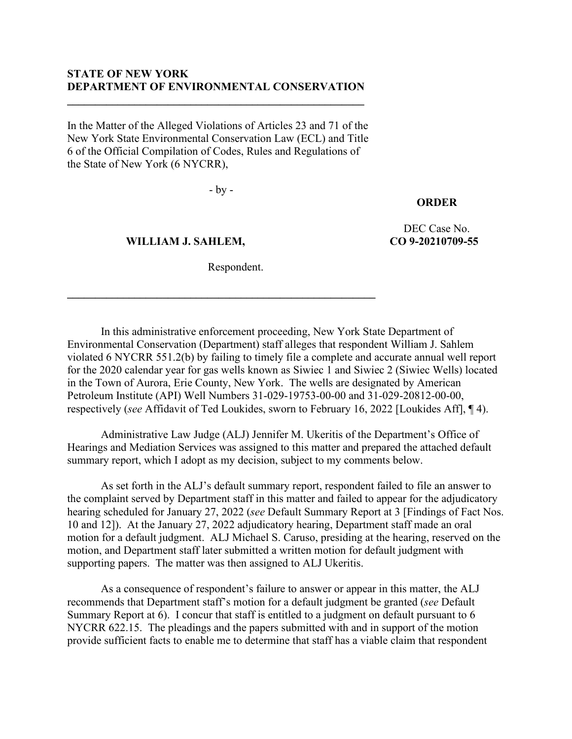## **STATE OF NEW YORK DEPARTMENT OF ENVIRONMENTAL CONSERVATION**

**\_\_\_\_\_\_\_\_\_\_\_\_\_\_\_\_\_\_\_\_\_\_\_\_\_\_\_\_\_\_\_\_\_\_\_\_\_\_\_\_\_\_\_\_\_\_\_\_\_\_\_\_\_**

In the Matter of the Alleged Violations of Articles 23 and 71 of the New York State Environmental Conservation Law (ECL) and Title 6 of the Official Compilation of Codes, Rules and Regulations of the State of New York (6 NYCRR),

- by -

### **ORDER**

 **WILLIAM J. SAHLEM,**

DEC Case No. **CO 9-20210709-55**

Respondent.

**\_\_\_\_\_\_\_\_\_\_\_\_\_\_\_\_\_\_\_\_\_\_\_\_\_\_\_\_\_\_\_\_\_\_\_\_\_\_\_\_\_\_\_\_\_\_\_\_\_\_\_\_\_\_\_**

In this administrative enforcement proceeding, New York State Department of Environmental Conservation (Department) staff alleges that respondent William J. Sahlem violated 6 NYCRR 551.2(b) by failing to timely file a complete and accurate annual well report for the 2020 calendar year for gas wells known as Siwiec 1 and Siwiec 2 (Siwiec Wells) located in the Town of Aurora, Erie County, New York. The wells are designated by American Petroleum Institute (API) Well Numbers 31-029-19753-00-00 and 31-029-20812-00-00, respectively (*see* Affidavit of Ted Loukides, sworn to February 16, 2022 [Loukides Aff], ¶ 4).

Administrative Law Judge (ALJ) Jennifer M. Ukeritis of the Department's Office of Hearings and Mediation Services was assigned to this matter and prepared the attached default summary report, which I adopt as my decision, subject to my comments below.

As set forth in the ALJ's default summary report, respondent failed to file an answer to the complaint served by Department staff in this matter and failed to appear for the adjudicatory hearing scheduled for January 27, 2022 (*see* Default Summary Report at 3 [Findings of Fact Nos. 10 and 12]). At the January 27, 2022 adjudicatory hearing, Department staff made an oral motion for a default judgment. ALJ Michael S. Caruso, presiding at the hearing, reserved on the motion, and Department staff later submitted a written motion for default judgment with supporting papers. The matter was then assigned to ALJ Ukeritis.

As a consequence of respondent's failure to answer or appear in this matter, the ALJ recommends that Department staff's motion for a default judgment be granted (*see* Default Summary Report at 6). I concur that staff is entitled to a judgment on default pursuant to 6 NYCRR 622.15. The pleadings and the papers submitted with and in support of the motion provide sufficient facts to enable me to determine that staff has a viable claim that respondent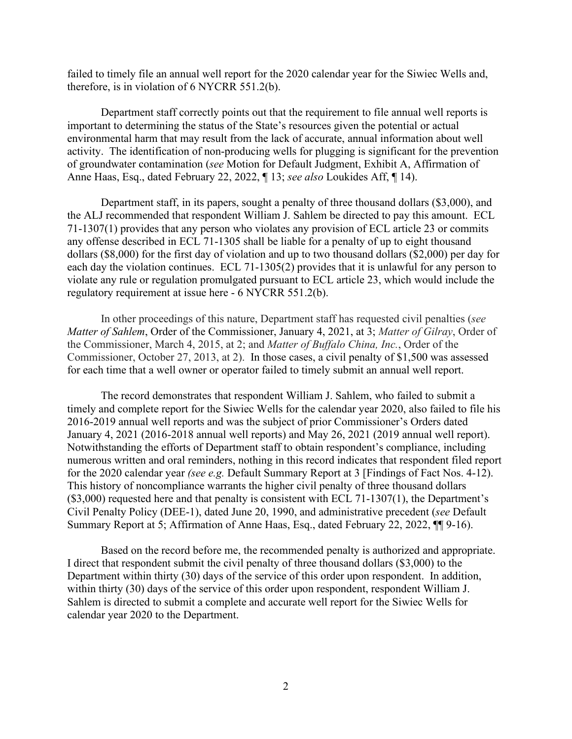failed to timely file an annual well report for the 2020 calendar year for the Siwiec Wells and, therefore, is in violation of 6 NYCRR 551.2(b).

Department staff correctly points out that the requirement to file annual well reports is important to determining the status of the State's resources given the potential or actual environmental harm that may result from the lack of accurate, annual information about well activity. The identification of non-producing wells for plugging is significant for the prevention of groundwater contamination (*see* Motion for Default Judgment, Exhibit A, Affirmation of Anne Haas, Esq., dated February 22, 2022, ¶ 13; *see also* Loukides Aff, ¶ 14).

Department staff, in its papers, sought a penalty of three thousand dollars (\$3,000), and the ALJ recommended that respondent William J. Sahlem be directed to pay this amount. ECL 71-1307(1) provides that any person who violates any provision of ECL article 23 or commits any offense described in ECL 71-1305 shall be liable for a penalty of up to eight thousand dollars (\$8,000) for the first day of violation and up to two thousand dollars (\$2,000) per day for each day the violation continues. ECL 71-1305(2) provides that it is unlawful for any person to violate any rule or regulation promulgated pursuant to ECL article 23, which would include the regulatory requirement at issue here - 6 NYCRR 551.2(b).

In other proceedings of this nature, Department staff has requested civil penalties (*see Matter of Sahlem*, Order of the Commissioner, January 4, 2021, at 3; *Matter of Gilray*, Order of the Commissioner, March 4, 2015, at 2; and *Matter of Buffalo China, Inc.*, Order of the Commissioner, October 27, 2013, at 2). In those cases, a civil penalty of \$1,500 was assessed for each time that a well owner or operator failed to timely submit an annual well report.

The record demonstrates that respondent William J. Sahlem, who failed to submit a timely and complete report for the Siwiec Wells for the calendar year 2020, also failed to file his 2016-2019 annual well reports and was the subject of prior Commissioner's Orders dated January 4, 2021 (2016-2018 annual well reports) and May 26, 2021 (2019 annual well report). Notwithstanding the efforts of Department staff to obtain respondent's compliance, including numerous written and oral reminders, nothing in this record indicates that respondent filed report for the 2020 calendar year *(see e.g.* Default Summary Report at 3 [Findings of Fact Nos. 4-12). This history of noncompliance warrants the higher civil penalty of three thousand dollars  $($3,000)$  requested here and that penalty is consistent with ECL 71-1307(1), the Department's Civil Penalty Policy (DEE-1), dated June 20, 1990, and administrative precedent (*see* Default Summary Report at 5; Affirmation of Anne Haas, Esq., dated February 22, 2022, ¶¶ 9-16).

Based on the record before me, the recommended penalty is authorized and appropriate. I direct that respondent submit the civil penalty of three thousand dollars (\$3,000) to the Department within thirty (30) days of the service of this order upon respondent. In addition, within thirty (30) days of the service of this order upon respondent, respondent William J. Sahlem is directed to submit a complete and accurate well report for the Siwiec Wells for calendar year 2020 to the Department.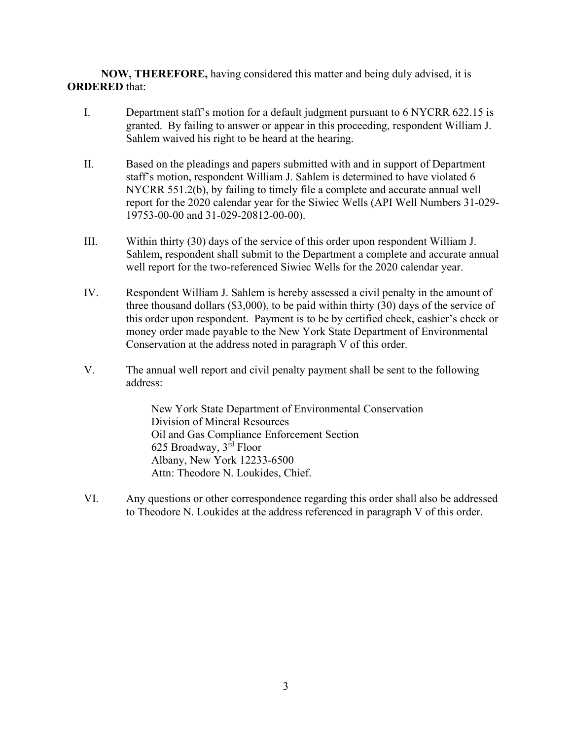**NOW, THEREFORE,** having considered this matter and being duly advised, it is **ORDERED** that:

- I. Department staff's motion for a default judgment pursuant to 6 NYCRR 622.15 is granted. By failing to answer or appear in this proceeding, respondent William J. Sahlem waived his right to be heard at the hearing.
- II. Based on the pleadings and papers submitted with and in support of Department staff's motion, respondent William J. Sahlem is determined to have violated 6 NYCRR 551.2(b), by failing to timely file a complete and accurate annual well report for the 2020 calendar year for the Siwiec Wells (API Well Numbers 31-029- 19753-00-00 and 31-029-20812-00-00).
- III. Within thirty (30) days of the service of this order upon respondent William J. Sahlem, respondent shall submit to the Department a complete and accurate annual well report for the two-referenced Siwiec Wells for the 2020 calendar year.
- IV. Respondent William J. Sahlem is hereby assessed a civil penalty in the amount of three thousand dollars (\$3,000), to be paid within thirty (30) days of the service of this order upon respondent. Payment is to be by certified check, cashier's check or money order made payable to the New York State Department of Environmental Conservation at the address noted in paragraph V of this order.
- V. The annual well report and civil penalty payment shall be sent to the following address:

New York State Department of Environmental Conservation Division of Mineral Resources Oil and Gas Compliance Enforcement Section 625 Broadway, 3rd Floor Albany, New York 12233-6500 Attn: Theodore N. Loukides, Chief.

VI. Any questions or other correspondence regarding this order shall also be addressed to Theodore N. Loukides at the address referenced in paragraph V of this order.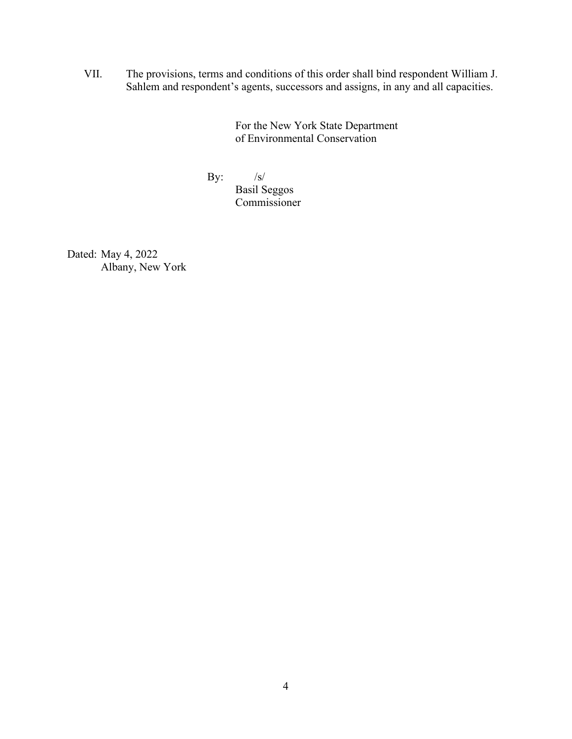VII. The provisions, terms and conditions of this order shall bind respondent William J. Sahlem and respondent's agents, successors and assigns, in any and all capacities.

> For the New York State Department of Environmental Conservation

By:  $/s/$ Basil Seggos Commissioner

Dated: May 4, 2022 Albany, New York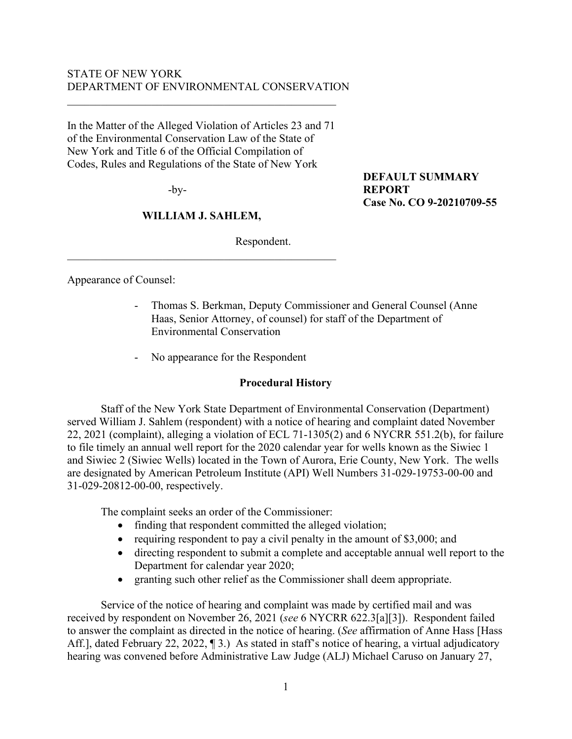## STATE OF NEW YORK DEPARTMENT OF ENVIRONMENTAL CONSERVATION

In the Matter of the Alleged Violation of Articles 23 and 71 of the Environmental Conservation Law of the State of New York and Title 6 of the Official Compilation of Codes, Rules and Regulations of the State of New York

-by-

# **WILLIAM J. SAHLEM,**

 $\mathcal{L}_\mathcal{L}$ 

Respondent.

**DEFAULT SUMMARY REPORT Case No. CO 9-20210709-55**

Appearance of Counsel:

- Thomas S. Berkman, Deputy Commissioner and General Counsel (Anne Haas, Senior Attorney, of counsel) for staff of the Department of Environmental Conservation
- No appearance for the Respondent

# **Procedural History**

Staff of the New York State Department of Environmental Conservation (Department) served William J. Sahlem (respondent) with a notice of hearing and complaint dated November 22, 2021 (complaint), alleging a violation of ECL 71-1305(2) and 6 NYCRR 551.2(b), for failure to file timely an annual well report for the 2020 calendar year for wells known as the Siwiec 1 and Siwiec 2 (Siwiec Wells) located in the Town of Aurora, Erie County, New York. The wells are designated by American Petroleum Institute (API) Well Numbers 31-029-19753-00-00 and 31-029-20812-00-00, respectively.

The complaint seeks an order of the Commissioner:

- finding that respondent committed the alleged violation;
- requiring respondent to pay a civil penalty in the amount of \$3,000; and
- directing respondent to submit a complete and acceptable annual well report to the Department for calendar year 2020;
- granting such other relief as the Commissioner shall deem appropriate.

Service of the notice of hearing and complaint was made by certified mail and was received by respondent on November 26, 2021 (*see* 6 NYCRR 622.3[a][3]). Respondent failed to answer the complaint as directed in the notice of hearing. (*See* affirmation of Anne Hass [Hass Aff.], dated February 22, 2022, 13. As stated in staff's notice of hearing, a virtual adjudicatory hearing was convened before Administrative Law Judge (ALJ) Michael Caruso on January 27,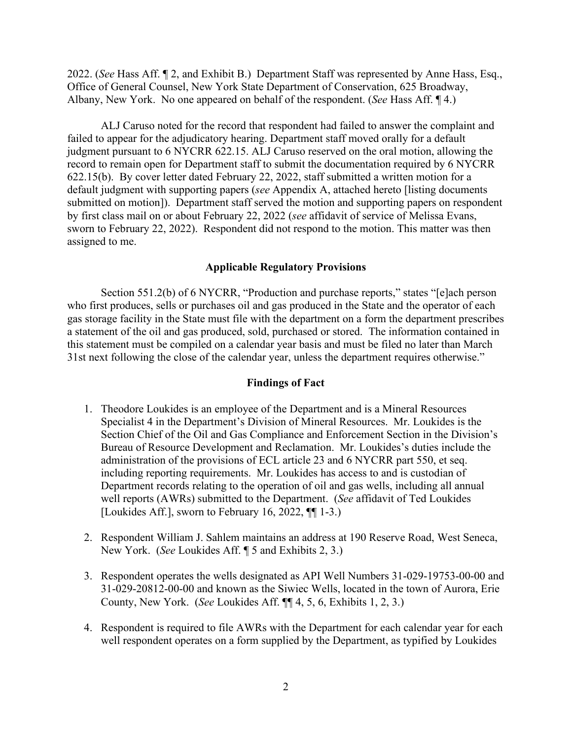2022. (*See* Hass Aff. ¶ 2, and Exhibit B.) Department Staff was represented by Anne Hass, Esq., Office of General Counsel, New York State Department of Conservation, 625 Broadway, Albany, New York. No one appeared on behalf of the respondent. (*See* Hass Aff. ¶ 4.)

ALJ Caruso noted for the record that respondent had failed to answer the complaint and failed to appear for the adjudicatory hearing. Department staff moved orally for a default judgment pursuant to 6 NYCRR 622.15. ALJ Caruso reserved on the oral motion, allowing the record to remain open for Department staff to submit the documentation required by 6 NYCRR 622.15(b). By cover letter dated February 22, 2022, staff submitted a written motion for a default judgment with supporting papers (*see* Appendix A, attached hereto [listing documents submitted on motion]). Department staff served the motion and supporting papers on respondent by first class mail on or about February 22, 2022 (*see* affidavit of service of Melissa Evans, sworn to February 22, 2022). Respondent did not respond to the motion. This matter was then assigned to me.

## **Applicable Regulatory Provisions**

Section 551.2(b) of 6 NYCRR, "Production and purchase reports," states "[e]ach person who first produces, sells or purchases oil and gas produced in the State and the operator of each gas storage facility in the State must file with the department on a form the department prescribes a statement of the oil and gas produced, sold, purchased or stored. The information contained in this statement must be compiled on a calendar year basis and must be filed no later than March 31st next following the close of the calendar year, unless the department requires otherwise."

### **Findings of Fact**

- 1. Theodore Loukides is an employee of the Department and is a Mineral Resources Specialist 4 in the Department's Division of Mineral Resources. Mr. Loukides is the Section Chief of the Oil and Gas Compliance and Enforcement Section in the Division's Bureau of Resource Development and Reclamation. Mr. Loukides's duties include the administration of the provisions of ECL article 23 and 6 NYCRR part 550, et seq. including reporting requirements. Mr. Loukides has access to and is custodian of Department records relating to the operation of oil and gas wells, including all annual well reports (AWRs) submitted to the Department. (*See* affidavit of Ted Loukides [Loukides Aff.], sworn to February 16, 2022, ¶¶ 1-3.)
- 2. Respondent William J. Sahlem maintains an address at 190 Reserve Road, West Seneca, New York. (*See* Loukides Aff. ¶ 5 and Exhibits 2, 3.)
- 3. Respondent operates the wells designated as API Well Numbers 31-029-19753-00-00 and 31-029-20812-00-00 and known as the Siwiec Wells, located in the town of Aurora, Erie County, New York. (*See* Loukides Aff. ¶¶ 4, 5, 6, Exhibits 1, 2, 3.)
- 4. Respondent is required to file AWRs with the Department for each calendar year for each well respondent operates on a form supplied by the Department, as typified by Loukides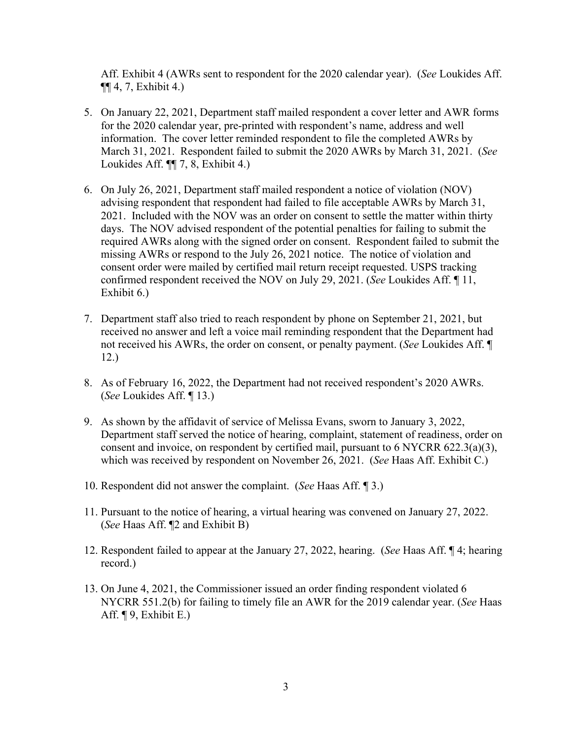Aff. Exhibit 4 (AWRs sent to respondent for the 2020 calendar year). (*See* Loukides Aff. ¶¶ 4, 7, Exhibit 4.)

- 5. On January 22, 2021, Department staff mailed respondent a cover letter and AWR forms for the 2020 calendar year, pre-printed with respondent's name, address and well information. The cover letter reminded respondent to file the completed AWRs by March 31, 2021. Respondent failed to submit the 2020 AWRs by March 31, 2021. (*See* Loukides Aff. ¶¶ 7, 8, Exhibit 4.)
- 6. On July 26, 2021, Department staff mailed respondent a notice of violation (NOV) advising respondent that respondent had failed to file acceptable AWRs by March 31, 2021. Included with the NOV was an order on consent to settle the matter within thirty days. The NOV advised respondent of the potential penalties for failing to submit the required AWRs along with the signed order on consent. Respondent failed to submit the missing AWRs or respond to the July 26, 2021 notice. The notice of violation and consent order were mailed by certified mail return receipt requested. USPS tracking confirmed respondent received the NOV on July 29, 2021. (*See* Loukides Aff. ¶ 11, Exhibit 6.)
- 7. Department staff also tried to reach respondent by phone on September 21, 2021, but received no answer and left a voice mail reminding respondent that the Department had not received his AWRs, the order on consent, or penalty payment. (*See* Loukides Aff. ¶ 12.)
- 8. As of February 16, 2022, the Department had not received respondent's 2020 AWRs. (*See* Loukides Aff. ¶ 13.)
- 9. As shown by the affidavit of service of Melissa Evans, sworn to January 3, 2022, Department staff served the notice of hearing, complaint, statement of readiness, order on consent and invoice, on respondent by certified mail, pursuant to 6 NYCRR 622.3(a)(3), which was received by respondent on November 26, 2021. (*See* Haas Aff. Exhibit C.)
- 10. Respondent did not answer the complaint. (*See* Haas Aff. ¶ 3.)
- 11. Pursuant to the notice of hearing, a virtual hearing was convened on January 27, 2022. (*See* Haas Aff. ¶2 and Exhibit B)
- 12. Respondent failed to appear at the January 27, 2022, hearing. (*See* Haas Aff. ¶ 4; hearing record.)
- 13. On June 4, 2021, the Commissioner issued an order finding respondent violated 6 NYCRR 551.2(b) for failing to timely file an AWR for the 2019 calendar year. (*See* Haas Aff. ¶ 9, Exhibit E.)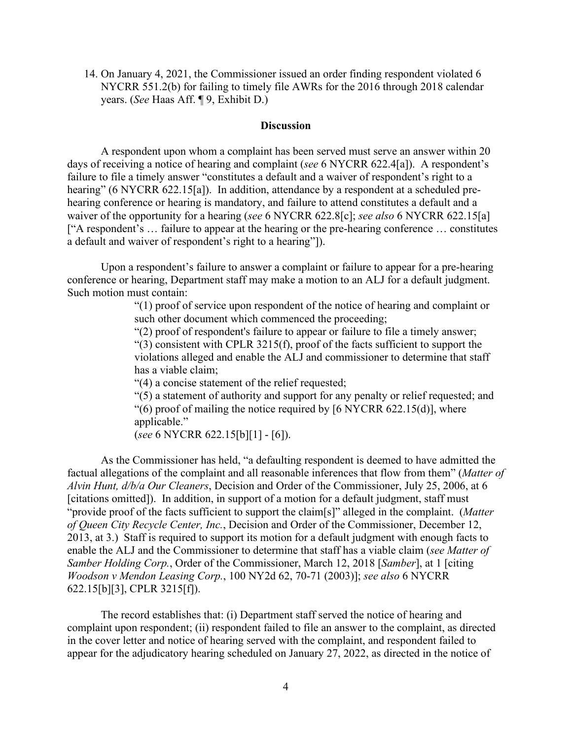14. On January 4, 2021, the Commissioner issued an order finding respondent violated 6 NYCRR 551.2(b) for failing to timely file AWRs for the 2016 through 2018 calendar years. (*See* Haas Aff. ¶ 9, Exhibit D.)

#### **Discussion**

A respondent upon whom a complaint has been served must serve an answer within 20 days of receiving a notice of hearing and complaint (*see* 6 NYCRR 622.4[a]). A respondent's failure to file a timely answer "constitutes a default and a waiver of respondent's right to a hearing" (6 NYCRR 622.15[a]). In addition, attendance by a respondent at a scheduled prehearing conference or hearing is mandatory, and failure to attend constitutes a default and a waiver of the opportunity for a hearing (*see* 6 NYCRR 622.8[c]; *see also* 6 NYCRR 622.15[a] ["A respondent's … failure to appear at the hearing or the pre-hearing conference … constitutes a default and waiver of respondent's right to a hearing"]).

Upon a respondent's failure to answer a complaint or failure to appear for a pre-hearing conference or hearing, Department staff may make a motion to an ALJ for a default judgment. Such motion must contain:

> "(1) proof of service upon respondent of the notice of hearing and complaint or such other document which commenced the proceeding;

"(2) proof of respondent's failure to appear or failure to file a timely answer;

 $(3)$  consistent with CPLR 3215(f), proof of the facts sufficient to support the violations alleged and enable the ALJ and commissioner to determine that staff has a viable claim;

"(4) a concise statement of the relief requested;

"(5) a statement of authority and support for any penalty or relief requested; and

" $(6)$  proof of mailing the notice required by [6 NYCRR 622.15(d)], where applicable."

(*see* 6 NYCRR 622.15[b][1] - [6]).

As the Commissioner has held, "a defaulting respondent is deemed to have admitted the factual allegations of the complaint and all reasonable inferences that flow from them" (*Matter of Alvin Hunt, d/b/a Our Cleaners*, Decision and Order of the Commissioner, July 25, 2006, at 6 [citations omitted]). In addition, in support of a motion for a default judgment, staff must "provide proof of the facts sufficient to support the claim[s]" alleged in the complaint. (*Matter of Queen City Recycle Center, Inc.*, Decision and Order of the Commissioner, December 12, 2013, at 3.) Staff is required to support its motion for a default judgment with enough facts to enable the ALJ and the Commissioner to determine that staff has a viable claim (*see Matter of Samber Holding Corp.*, Order of the Commissioner, March 12, 2018 [*Samber*], at 1 [citing *Woodson v Mendon Leasing Corp.*, 100 NY2d 62, 70-71 (2003)]; *see also* 6 NYCRR 622.15[b][3], CPLR 3215[f]).

The record establishes that: (i) Department staff served the notice of hearing and complaint upon respondent; (ii) respondent failed to file an answer to the complaint, as directed in the cover letter and notice of hearing served with the complaint, and respondent failed to appear for the adjudicatory hearing scheduled on January 27, 2022, as directed in the notice of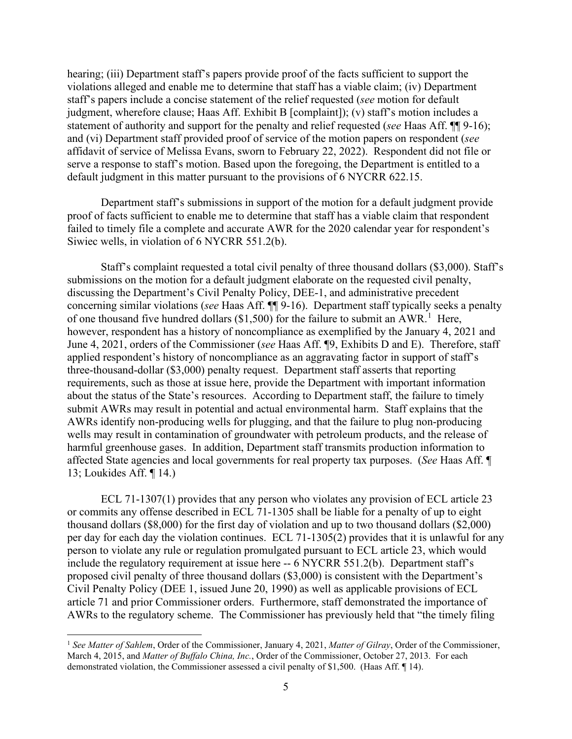hearing; (iii) Department staff's papers provide proof of the facts sufficient to support the violations alleged and enable me to determine that staff has a viable claim; (iv) Department staff's papers include a concise statement of the relief requested (*see* motion for default judgment, wherefore clause; Haas Aff. Exhibit B [complaint]); (v) staff's motion includes a statement of authority and support for the penalty and relief requested (*see* Haas Aff. ¶¶ 9-16); and (vi) Department staff provided proof of service of the motion papers on respondent (*see* affidavit of service of Melissa Evans, sworn to February 22, 2022). Respondent did not file or serve a response to staff's motion. Based upon the foregoing, the Department is entitled to a default judgment in this matter pursuant to the provisions of 6 NYCRR 622.15.

Department staff's submissions in support of the motion for a default judgment provide proof of facts sufficient to enable me to determine that staff has a viable claim that respondent failed to timely file a complete and accurate AWR for the 2020 calendar year for respondent's Siwiec wells, in violation of 6 NYCRR 551.2(b).

Staff's complaint requested a total civil penalty of three thousand dollars (\$3,000). Staff's submissions on the motion for a default judgment elaborate on the requested civil penalty, discussing the Department's Civil Penalty Policy, DEE-1, and administrative precedent concerning similar violations (*see* Haas Aff. ¶¶ 9-16). Department staff typically seeks a penalty of one thousand five hundred dollars (\$[1](#page-8-0),500) for the failure to submit an AWR.<sup>1</sup> Here, however, respondent has a history of noncompliance as exemplified by the January 4, 2021 and June 4, 2021, orders of the Commissioner (*see* Haas Aff. ¶9, Exhibits D and E). Therefore, staff applied respondent's history of noncompliance as an aggravating factor in support of staff's three-thousand-dollar (\$3,000) penalty request. Department staff asserts that reporting requirements, such as those at issue here, provide the Department with important information about the status of the State's resources. According to Department staff, the failure to timely submit AWRs may result in potential and actual environmental harm. Staff explains that the AWRs identify non-producing wells for plugging, and that the failure to plug non-producing wells may result in contamination of groundwater with petroleum products, and the release of harmful greenhouse gases. In addition, Department staff transmits production information to affected State agencies and local governments for real property tax purposes. (*See* Haas Aff. ¶ 13; Loukides Aff. ¶ 14.)

ECL 71-1307(1) provides that any person who violates any provision of ECL article 23 or commits any offense described in ECL 71-1305 shall be liable for a penalty of up to eight thousand dollars (\$8,000) for the first day of violation and up to two thousand dollars (\$2,000) per day for each day the violation continues. ECL 71-1305(2) provides that it is unlawful for any person to violate any rule or regulation promulgated pursuant to ECL article 23, which would include the regulatory requirement at issue here -- 6 NYCRR 551.2(b). Department staff's proposed civil penalty of three thousand dollars (\$3,000) is consistent with the Department's Civil Penalty Policy (DEE 1, issued June 20, 1990) as well as applicable provisions of ECL article 71 and prior Commissioner orders. Furthermore, staff demonstrated the importance of AWRs to the regulatory scheme. The Commissioner has previously held that "the timely filing

<span id="page-8-0"></span><sup>1</sup> *See Matter of Sahlem*, Order of the Commissioner, January 4, 2021, *Matter of Gilray*, Order of the Commissioner, March 4, 2015, and *Matter of Buffalo China, Inc.*, Order of the Commissioner, October 27, 2013. For each demonstrated violation, the Commissioner assessed a civil penalty of \$1,500. (Haas Aff. ¶ 14).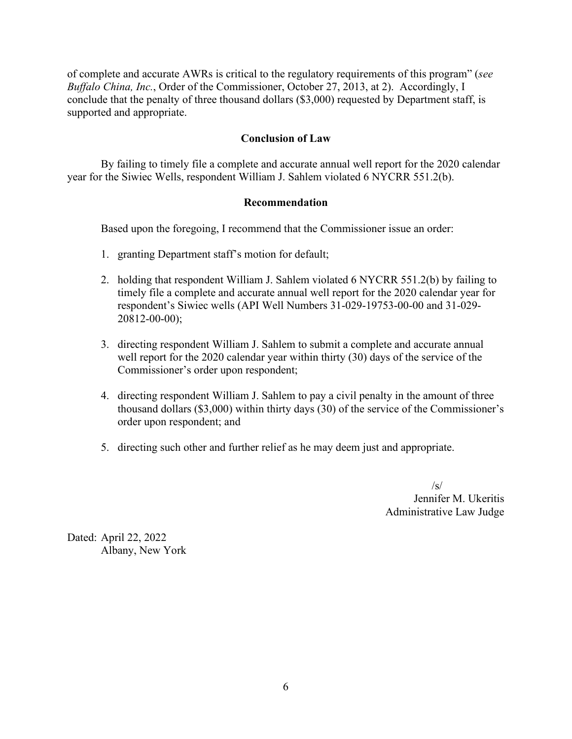of complete and accurate AWRs is critical to the regulatory requirements of this program" (*see Buffalo China, Inc.*, Order of the Commissioner, October 27, 2013, at 2). Accordingly, I conclude that the penalty of three thousand dollars (\$3,000) requested by Department staff, is supported and appropriate.

# **Conclusion of Law**

By failing to timely file a complete and accurate annual well report for the 2020 calendar year for the Siwiec Wells, respondent William J. Sahlem violated 6 NYCRR 551.2(b).

#### **Recommendation**

Based upon the foregoing, I recommend that the Commissioner issue an order:

- 1. granting Department staff's motion for default;
- 2. holding that respondent William J. Sahlem violated 6 NYCRR 551.2(b) by failing to timely file a complete and accurate annual well report for the 2020 calendar year for respondent's Siwiec wells (API Well Numbers 31-029-19753-00-00 and 31-029- 20812-00-00);
- 3. directing respondent William J. Sahlem to submit a complete and accurate annual well report for the 2020 calendar year within thirty (30) days of the service of the Commissioner's order upon respondent;
- 4. directing respondent William J. Sahlem to pay a civil penalty in the amount of three thousand dollars (\$3,000) within thirty days (30) of the service of the Commissioner's order upon respondent; and
- 5. directing such other and further relief as he may deem just and appropriate.

 $\sqrt{s}$ Jennifer M. Ukeritis Administrative Law Judge

Dated: April 22, 2022 Albany, New York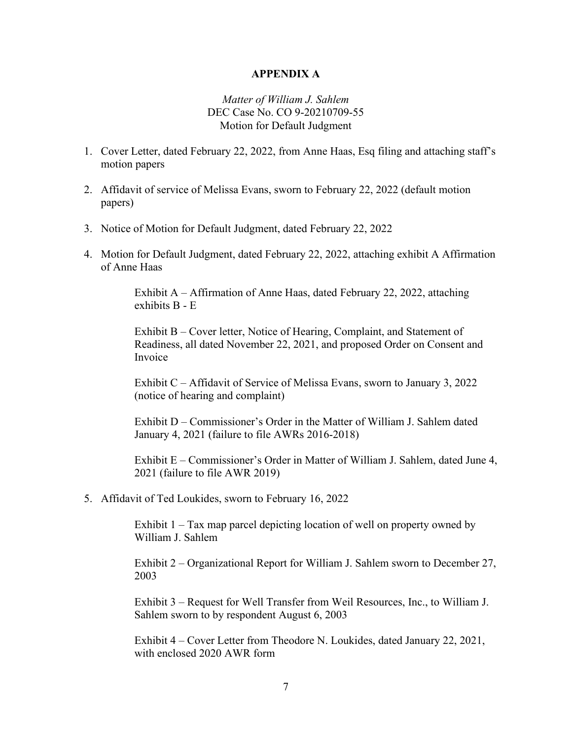### **APPENDIX A**

## *Matter of William J. Sahlem* DEC Case No. CO 9-20210709-55 Motion for Default Judgment

- 1. Cover Letter, dated February 22, 2022, from Anne Haas, Esq filing and attaching staff's motion papers
- 2. Affidavit of service of Melissa Evans, sworn to February 22, 2022 (default motion papers)
- 3. Notice of Motion for Default Judgment, dated February 22, 2022
- 4. Motion for Default Judgment, dated February 22, 2022, attaching exhibit A Affirmation of Anne Haas

Exhibit A – Affirmation of Anne Haas, dated February 22, 2022, attaching exhibits B - E

Exhibit B – Cover letter, Notice of Hearing, Complaint, and Statement of Readiness, all dated November 22, 2021, and proposed Order on Consent and Invoice

Exhibit C – Affidavit of Service of Melissa Evans, sworn to January 3, 2022 (notice of hearing and complaint)

Exhibit D – Commissioner's Order in the Matter of William J. Sahlem dated January 4, 2021 (failure to file AWRs 2016-2018)

Exhibit E – Commissioner's Order in Matter of William J. Sahlem, dated June 4, 2021 (failure to file AWR 2019)

5. Affidavit of Ted Loukides, sworn to February 16, 2022

Exhibit 1 – Tax map parcel depicting location of well on property owned by William J. Sahlem

Exhibit 2 – Organizational Report for William J. Sahlem sworn to December 27, 2003

Exhibit 3 – Request for Well Transfer from Weil Resources, Inc., to William J. Sahlem sworn to by respondent August 6, 2003

Exhibit 4 – Cover Letter from Theodore N. Loukides, dated January 22, 2021, with enclosed 2020 AWR form